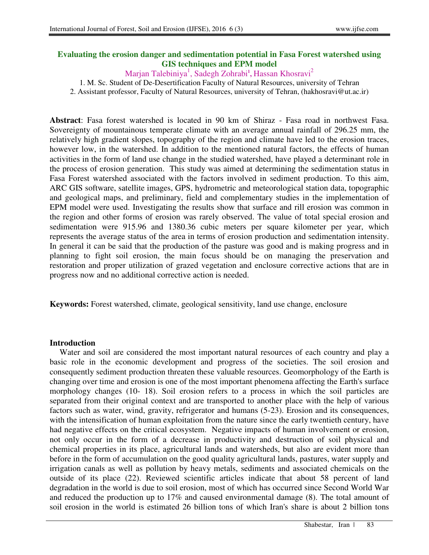# **Evaluating the erosion danger and sedimentation potential in Fasa Forest watershed using GIS techniques and EPM model**

Marjan Talebiniya<sup>1</sup> , Sadegh Zohrabi**<sup>1</sup> ,** Hassan Khosravi<sup>2</sup>

1. M. Sc. Student of De-Desertification Faculty of Natural Resources, university of Tehran

2. Assistant professor, Faculty of Natural Resources, university of Tehran, (hakhosravi@ut.ac.ir)

**Abstract**: Fasa forest watershed is located in 90 km of Shiraz - Fasa road in northwest Fasa. Sovereignty of mountainous temperate climate with an average annual rainfall of 296.25 mm, the relatively high gradient slopes, topography of the region and climate have led to the erosion traces, however low, in the watershed. In addition to the mentioned natural factors, the effects of human activities in the form of land use change in the studied watershed, have played a determinant role in the process of erosion generation. This study was aimed at determining the sedimentation status in Fasa Forest watershed associated with the factors involved in sediment production. To this aim, ARC GIS software, satellite images, GPS, hydrometric and meteorological station data, topographic and geological maps, and preliminary, field and complementary studies in the implementation of EPM model were used. Investigating the results show that surface and rill erosion was common in the region and other forms of erosion was rarely observed. The value of total special erosion and sedimentation were 915.96 and 1380.36 cubic meters per square kilometer per year, which represents the average status of the area in terms of erosion production and sedimentation intensity. In general it can be said that the production of the pasture was good and is making progress and in planning to fight soil erosion, the main focus should be on managing the preservation and restoration and proper utilization of grazed vegetation and enclosure corrective actions that are in progress now and no additional corrective action is needed.

**Keywords:** Forest watershed, climate, geological sensitivity, land use change, enclosure

#### **Introduction**

Water and soil are considered the most important natural resources of each country and play a basic role in the economic development and progress of the societies. The soil erosion and consequently sediment production threaten these valuable resources. Geomorphology of the Earth is changing over time and erosion is one of the most important phenomena affecting the Earth's surface morphology changes (10- 18). Soil erosion refers to a process in which the soil particles are separated from their original context and are transported to another place with the help of various factors such as water, wind, gravity, refrigerator and humans (5-23). Erosion and its consequences, with the intensification of human exploitation from the nature since the early twentieth century, have had negative effects on the critical ecosystem. Negative impacts of human involvement or erosion, not only occur in the form of a decrease in productivity and destruction of soil physical and chemical properties in its place, agricultural lands and watersheds, but also are evident more than before in the form of accumulation on the good quality agricultural lands, pastures, water supply and irrigation canals as well as pollution by heavy metals, sediments and associated chemicals on the outside of its place (22). Reviewed scientific articles indicate that about 58 percent of land degradation in the world is due to soil erosion, most of which has occurred since Second World War and reduced the production up to 17% and caused environmental damage (8). The total amount of soil erosion in the world is estimated 26 billion tons of which Iran's share is about 2 billion tons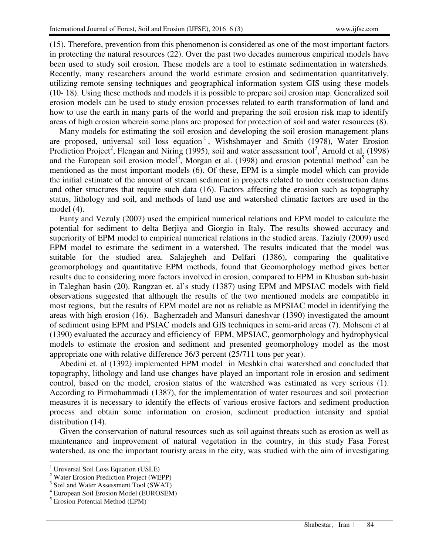(15). Therefore, prevention from this phenomenon is considered as one of the most important factors in protecting the natural resources (22). Over the past two decades numerous empirical models have been used to study soil erosion. These models are a tool to estimate sedimentation in watersheds. Recently, many researchers around the world estimate erosion and sedimentation quantitatively, utilizing remote sensing techniques and geographical information system GIS using these models (10- 18). Using these methods and models it is possible to prepare soil erosion map. Generalized soil erosion models can be used to study erosion processes related to earth transformation of land and how to use the earth in many parts of the world and preparing the soil erosion risk map to identify areas of high erosion wherein some plans are proposed for protection of soil and water resources (8).

Many models for estimating the soil erosion and developing the soil erosion management plans are proposed, universal soil loss equation<sup>1</sup>, Wishshmayer and Smith (1978), Water Erosion Prediction Project<sup>2</sup>, Flengan and Niring (1995), soil and water assessment tool<sup>3</sup>, Arnold et al. (1998) and the European soil erosion model<sup>4</sup>, Morgan et al. (1998) and erosion potential method<sup>5</sup> can be mentioned as the most important models (6). Of these, EPM is a simple model which can provide the initial estimate of the amount of stream sediment in projects related to under construction dams and other structures that require such data (16). Factors affecting the erosion such as topography status, lithology and soil, and methods of land use and watershed climatic factors are used in the model (4).

Fanty and Vezuly (2007) used the empirical numerical relations and EPM model to calculate the potential for sediment to delta Berjiya and Giorgio in Italy. The results showed accuracy and superiority of EPM model to empirical numerical relations in the studied areas. Taziuly (2009) used EPM model to estimate the sediment in a watershed. The results indicated that the model was suitable for the studied area. Salajegheh and Delfari (1386), comparing the qualitative geomorphology and quantitative EPM methods, found that Geomorphology method gives better results due to considering more factors involved in erosion, compared to EPM in Khusban sub-basin in Taleghan basin (20). Rangzan et. al's study (1387) using EPM and MPSIAC models with field observations suggested that although the results of the two mentioned models are compatible in most regions, but the results of EPM model are not as reliable as MPSIAC model in identifying the areas with high erosion (16). Bagherzadeh and Mansuri daneshvar (1390) investigated the amount of sediment using EPM and PSIAC models and GIS techniques in semi-arid areas (7). Mohseni et al (1390) evaluated the accuracy and efficiency of EPM, MPSIAC, geomorphology and hydrophysical models to estimate the erosion and sediment and presented geomorphology model as the most appropriate one with relative difference 36/3 percent (25/711 tons per year).

Abedini et. al (1392) implemented EPM model in Meshkin chai watershed and concluded that topography, lithology and land use changes have played an important role in erosion and sediment control, based on the model, erosion status of the watershed was estimated as very serious (1). According to Pirmohammadi (1387), for the implementation of water resources and soil protection measures it is necessary to identify the effects of various erosive factors and sediment production process and obtain some information on erosion, sediment production intensity and spatial distribution  $(14)$ .

Given the conservation of natural resources such as soil against threats such as erosion as well as maintenance and improvement of natural vegetation in the country, in this study Fasa Forest watershed, as one the important touristy areas in the city, was studied with the aim of investigating

 $\overline{a}$ 

<sup>1</sup> Universal Soil Loss Equation (USLE)

<sup>&</sup>lt;sup>2</sup> Water Erosion Prediction Project (WEPP)

<sup>&</sup>lt;sup>3</sup> Soil and Water Assessment Tool (SWAT)

<sup>4</sup> European Soil Erosion Model (EUROSEM)

<sup>5</sup> Erosion Potential Method (EPM)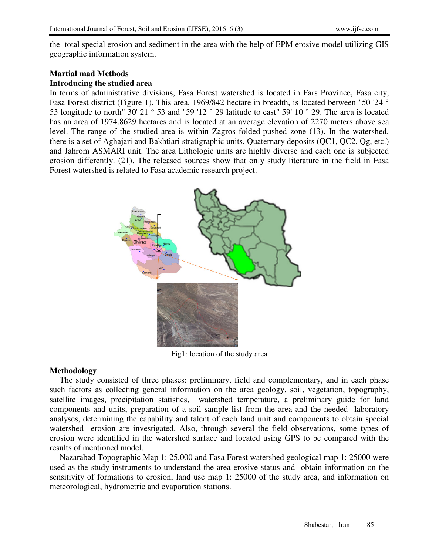the total special erosion and sediment in the area with the help of EPM erosive model utilizing GIS geographic information system.

#### **Martial mad Methods Introducing the studied area**

In terms of administrative divisions, Fasa Forest watershed is located in Fars Province, Fasa city, Fasa Forest district (Figure 1). This area, 1969/842 hectare in breadth, is located between "50 '24 ° 53 longitude to north" 30' 21  $\degree$  53 and "59 '12  $\degree$  29 latitude to east" 59' 10  $\degree$  29. The area is located has an area of 1974.8629 hectares and is located at an average elevation of 2270 meters above sea level. The range of the studied area is within Zagros folded-pushed zone (13). In the watershed, there is a set of Aghajari and Bakhtiari stratigraphic units, Quaternary deposits (QC1, QC2, Qg, etc.) and Jahrom ASMARI unit. The area Lithologic units are highly diverse and each one is subjected erosion differently. (21). The released sources show that only study literature in the field in Fasa Forest watershed is related to Fasa academic research project.



Fig1: location of the study area

# **Methodology**

The study consisted of three phases: preliminary, field and complementary, and in each phase such factors as collecting general information on the area geology, soil, vegetation, topography, satellite images, precipitation statistics, watershed temperature, a preliminary guide for land components and units, preparation of a soil sample list from the area and the needed laboratory analyses, determining the capability and talent of each land unit and components to obtain special watershed erosion are investigated. Also, through several the field observations, some types of erosion were identified in the watershed surface and located using GPS to be compared with the results of mentioned model.

Nazarabad Topographic Map 1: 25,000 and Fasa Forest watershed geological map 1: 25000 were used as the study instruments to understand the area erosive status and obtain information on the sensitivity of formations to erosion, land use map 1: 25000 of the study area, and information on meteorological, hydrometric and evaporation stations.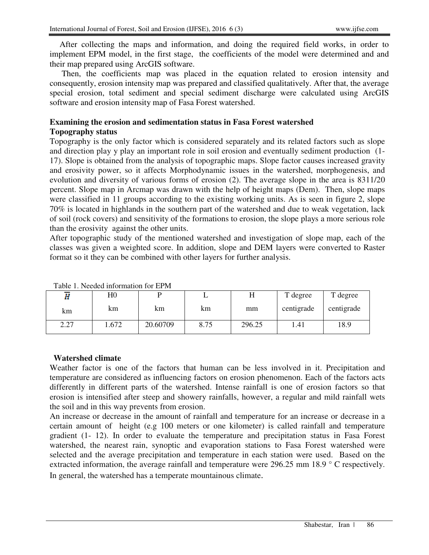After collecting the maps and information, and doing the required field works, in order to implement EPM model, in the first stage, the coefficients of the model were determined and and their map prepared using ArcGIS software.

 Then, the coefficients map was placed in the equation related to erosion intensity and consequently, erosion intensity map was prepared and classified qualitatively. After that, the average special erosion, total sediment and special sediment discharge were calculated using ArcGIS software and erosion intensity map of Fasa Forest watershed.

# **Examining the erosion and sedimentation status in Fasa Forest watershed**

# **Topography status**

Topography is the only factor which is considered separately and its related factors such as slope and direction play y play an important role in soil erosion and eventually sediment production (1- 17). Slope is obtained from the analysis of topographic maps. Slope factor causes increased gravity and erosivity power, so it affects Morphodynamic issues in the watershed, morphogenesis, and evolution and diversity of various forms of erosion (2). The average slope in the area is 8311/20 percent. Slope map in Arcmap was drawn with the help of height maps (Dem). Then, slope maps were classified in 11 groups according to the existing working units. As is seen in figure 2, slope 70% is located in highlands in the southern part of the watershed and due to weak vegetation, lack of soil (rock covers) and sensitivity of the formations to erosion, the slope plays a more serious role than the erosivity against the other units.

After topographic study of the mentioned watershed and investigation of slope map, each of the classes was given a weighted score. In addition, slope and DEM layers were converted to Raster format so it they can be combined with other layers for further analysis.

| Taong 1. Ingguni mitorimanon iyi El iyi |             |          |      |        |            |            |  |
|-----------------------------------------|-------------|----------|------|--------|------------|------------|--|
| Ĥ                                       | $_{\rm H0}$ |          |      |        | T degree   | T degree   |  |
| km                                      | km          | km       | km   | mm     | centigrade | centigrade |  |
| 2.27                                    | .672        | 20.60709 | 8.75 | 296.25 | 1.41       | 18.9       |  |

Table 1. Needed information for EPM

#### **Watershed climate**

Weather factor is one of the factors that human can be less involved in it. Precipitation and temperature are considered as influencing factors on erosion phenomenon. Each of the factors acts differently in different parts of the watershed. Intense rainfall is one of erosion factors so that erosion is intensified after steep and showery rainfalls, however, a regular and mild rainfall wets the soil and in this way prevents from erosion.

An increase or decrease in the amount of rainfall and temperature for an increase or decrease in a certain amount of height (e.g 100 meters or one kilometer) is called rainfall and temperature gradient (1- 12). In order to evaluate the temperature and precipitation status in Fasa Forest watershed, the nearest rain, synoptic and evaporation stations to Fasa Forest watershed were selected and the average precipitation and temperature in each station were used. Based on the extracted information, the average rainfall and temperature were 296.25 mm 18.9 ° C respectively. In general, the watershed has a temperate mountainous climate.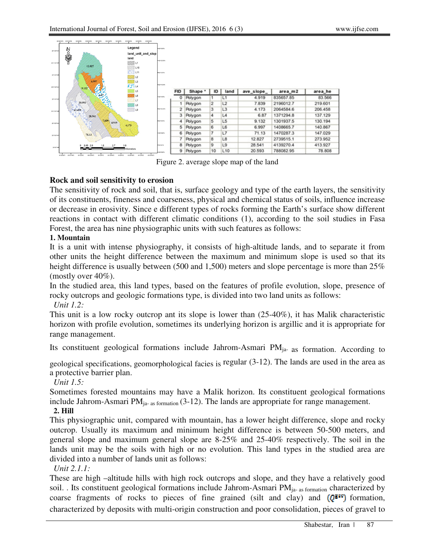

Figure 2. average slope map of the land

# **Rock and soil sensitivity to erosion**

The sensitivity of rock and soil, that is, surface geology and type of the earth layers, the sensitivity of its constituents, fineness and coarseness, physical and chemical status of soils, influence increase or decrease in erosivity. Since e different types of rocks forming the Earth's surface show different reactions in contact with different climatic conditions (1), according to the soil studies in Fasa Forest, the area has nine physiographic units with such features as follows:

# **1. Mountain**

It is a unit with intense physiography, it consists of high-altitude lands, and to separate it from other units the height difference between the maximum and minimum slope is used so that its height difference is usually between (500 and 1,500) meters and slope percentage is more than 25% (mostly over 40%).

In the studied area, this land types, based on the features of profile evolution, slope, presence of rocky outcrops and geologic formations type, is divided into two land units as follows:

*Unit 1.2:*

This unit is a low rocky outcrop ant its slope is lower than (25-40%), it has Malik characteristic horizon with profile evolution, sometimes its underlying horizon is argillic and it is appropriate for range management.

Its constituent geological formations include Jahrom-Asmari PM<sub>ja-</sub> as formation. According to

geological specifications, geomorphological facies is regular (3-12). The lands are used in the area as a protective barrier plan.

# *Unit 1.5:*

Sometimes forested mountains may have a Malik horizon. Its constituent geological formations include Jahrom-Asmari  $PM_{ia-as\ formation}$  (3-12). The lands are appropriate for range management.

# **2. Hill**

This physiographic unit, compared with mountain, has a lower height difference, slope and rocky outcrop. Usually its maximum and minimum height difference is between 50-500 meters, and general slope and maximum general slope are 8-25% and 25-40% respectively. The soil in the lands unit may be the soils with high or no evolution. This land types in the studied area are divided into a number of lands unit as follows:

*Unit 2.1.1:*

These are high –altitude hills with high rock outcrops and slope, and they have a relatively good soil. . Its constituent geological formations include Jahrom-Asmari PM<sub>ja-as formation</sub> characterized by coarse fragments of rocks to pieces of fine grained (silt and clay) and  $(Q^{\text{grav}})$  formation, characterized by deposits with multi-origin construction and poor consolidation, pieces of gravel to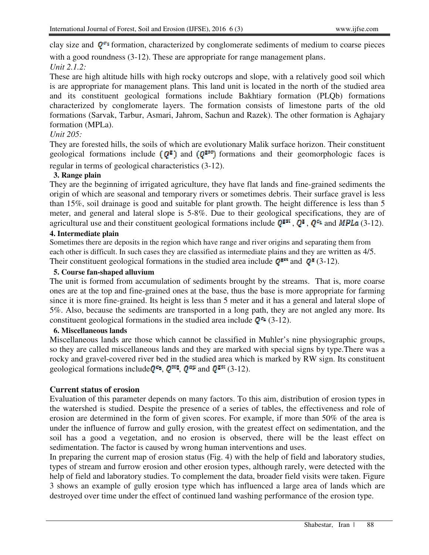clay size and  $q^{\sigma_1}$  formation, characterized by conglomerate sediments of medium to coarse pieces with a good roundness (3-12). These are appropriate for range management plans. *Unit 2.1.2:* 

These are high altitude hills with high rocky outcrops and slope, with a relatively good soil which is are appropriate for management plans. This land unit is located in the north of the studied area and its constituent geological formations include Bakhtiary formation (PLQb) formations characterized by conglomerate layers. The formation consists of limestone parts of the old formations (Sarvak, Tarbur, Asmari, Jahrom, Sachun and Razek). The other formation is Aghajary formation (MPLa).

# *Unit 205:*

They are forested hills, the soils of which are evolutionary Malik surface horizon. Their constituent geological formations include  $(Q^g)$  and  $(Q^{gge}$  formations and their geomorphologic faces is regular in terms of geological characteristics (3-12).

#### **3. Range plain**

They are the beginning of irrigated agriculture, they have flat lands and fine-grained sediments the origin of which are seasonal and temporary rivers or sometimes debris. Their surface gravel is less than 15%, soil drainage is good and suitable for plant growth. The height difference is less than 5 meter, and general and lateral slope is 5-8%. Due to their geological specifications, they are of agricultural use and their constituent geological formations include  $Q^{\text{g}}$ ,  $Q^{\text{g}}$ ,  $Q^{\text{g}}$ , and MPLa (3-12).

#### **4. Intermediate plain**

Sometimes there are deposits in the region which have range and river origins and separating them from each other is difficult. In such cases they are classified as intermediate plains and they are written as 4/5. Their constituent geological formations in the studied area include  $Q^{\text{g}}$  and  $Q^{\text{g}}$  (3-12).

## **5. Course fan-shaped alluvium**

The unit is formed from accumulation of sediments brought by the streams. That is, more coarse ones are at the top and fine-grained ones at the base, thus the base is more appropriate for farming since it is more fine-grained. Its height is less than 5 meter and it has a general and lateral slope of 5%. Also, because the sediments are transported in a long path, they are not angled any more. Its constituent geological formations in the studied area include  $Q^{\sigma_1}$  (3-12).

#### **6. Miscellaneous lands**

Miscellaneous lands are those which cannot be classified in Muhler's nine physiographic groups, so they are called miscellaneous lands and they are marked with special signs by type.There was a rocky and gravel-covered river bed in the studied area which is marked by RW sign. Its constituent geological formations include  $Q^{\epsilon_2}$ ,  $Q^{\epsilon_3\epsilon}$ ,  $Q^{\alpha\mu}$  and  $Q^{\epsilon_3\epsilon}$  (3-12).

# **Current status of erosion**

Evaluation of this parameter depends on many factors. To this aim, distribution of erosion types in the watershed is studied. Despite the presence of a series of tables, the effectiveness and role of erosion are determined in the form of given scores. For example, if more than 50% of the area is under the influence of furrow and gully erosion, with the greatest effect on sedimentation, and the soil has a good a vegetation, and no erosion is observed, there will be the least effect on sedimentation. The factor is caused by wrong human interventions and uses.

In preparing the current map of erosion status (Fig. 4) with the help of field and laboratory studies, types of stream and furrow erosion and other erosion types, although rarely, were detected with the help of field and laboratory studies. To complement the data, broader field visits were taken. Figure 3 shows an example of gully erosion type which has influenced a large area of lands which are destroyed over time under the effect of continued land washing performance of the erosion type.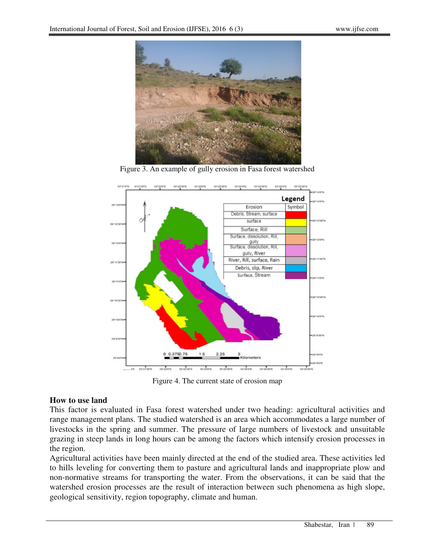

Figure 3. An example of gully erosion in Fasa forest watershed



Figure 4. The current state of erosion map

#### **How to use land**

This factor is evaluated in Fasa forest watershed under two heading: agricultural activities and range management plans. The studied watershed is an area which accommodates a large number of livestocks in the spring and summer. The pressure of large numbers of livestock and unsuitable grazing in steep lands in long hours can be among the factors which intensify erosion processes in the region.

Agricultural activities have been mainly directed at the end of the studied area. These activities led to hills leveling for converting them to pasture and agricultural lands and inappropriate plow and non-normative streams for transporting the water. From the observations, it can be said that the watershed erosion processes are the result of interaction between such phenomena as high slope, geological sensitivity, region topography, climate and human.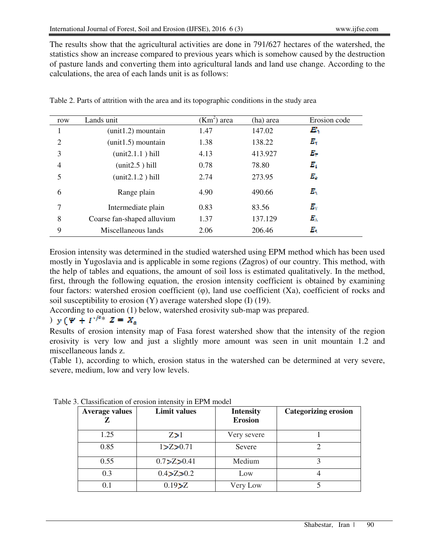The results show that the agricultural activities are done in 791/627 hectares of the watershed, the statistics show an increase compared to previous years which is somehow caused by the destruction of pasture lands and converting them into agricultural lands and land use change. According to the calculations, the area of each lands unit is as follows:

| row | Lands unit                 | $(Km2)$ area | (ha) area | Erosion code  |
|-----|----------------------------|--------------|-----------|---------------|
|     | $(unit1.2)$ mountain       | 1.47         | 147.02    | $\bm{E}_1$    |
| 2   | $(unit1.5)$ mountain       | 1.38         | 138.22    | $E_{\rm Y}$   |
| 3   | (unit2.1.1) hill           | 4.13         | 413.927   | $E_{\rm T}$   |
| 4   | (unit2.5) hill             | 0.78         | 78.80     | $E_{\rm t}$   |
| 5   | (unit2.1.2) hill           | 2.74         | 273.95    | $E_{\alpha}$  |
| 6   | Range plain                | 4.90         | 490.66    | $E_{\rm i}$   |
| 7   | Intermediate plain         | 0.83         | 83.56     | $E_{\rm V}$   |
| 8   | Coarse fan-shaped alluvium | 1.37         | 137.129   | $E_{\lambda}$ |
| 9   | Miscellaneous lands        | 2.06         | 206.46    | $E_{\rm t}$   |

Table 2. Parts of attrition with the area and its topographic conditions in the study area

Erosion intensity was determined in the studied watershed using EPM method which has been used mostly in Yugoslavia and is applicable in some regions (Zagros) of our country. This method, with the help of tables and equations, the amount of soil loss is estimated qualitatively. In the method, first, through the following equation, the erosion intensity coefficient is obtained by examining four factors: watershed erosion coefficient  $(\varphi)$ , land use coefficient  $(Xa)$ , coefficient of rocks and soil susceptibility to erosion (Y) average watershed slope (I) (19).

According to equation (1) below, watershed erosivity sub-map was prepared.

# )  $y(y + I)^{e^x} Z = X_a$

Results of erosion intensity map of Fasa forest watershed show that the intensity of the region erosivity is very low and just a slightly more amount was seen in unit mountain 1.2 and miscellaneous lands z.

(Table 1), according to which, erosion status in the watershed can be determined at very severe, severe, medium, low and very low levels.

| <b>Average values</b> | <b>Limit values</b> | <b>Intensity</b><br><b>Erosion</b> | <b>Categorizing erosion</b> |
|-----------------------|---------------------|------------------------------------|-----------------------------|
| 1.25                  | Z>1                 | Very severe                        |                             |
| 0.85                  | 1 > Z > 0.71        | Severe                             |                             |
| 0.55                  | 0.7 > Z > 0.41      | Medium                             |                             |
| 0.3                   | 0.4 > Z > 0.2       | Low                                |                             |
| 0.1                   | 0.19 > Z            | Very Low                           |                             |

Table 3. Classification of erosion intensity in EPM model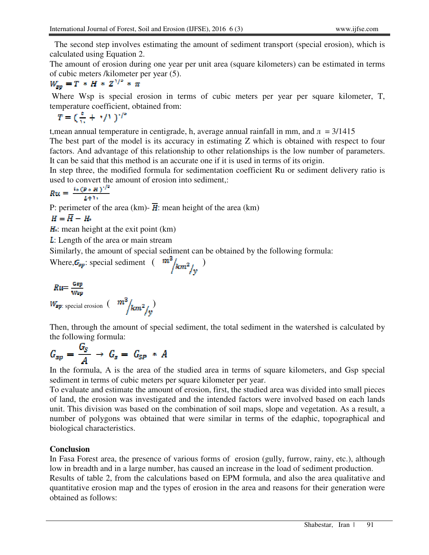The second step involves estimating the amount of sediment transport (special erosion), which is calculated using Equation 2.

The amount of erosion during one year per unit area (square kilometers) can be estimated in terms of cubic meters /kilometer per year (5).

$$
W_{\rm sp}=T*H*Z^{1/2}* \pi
$$

 Where Wsp is special erosion in terms of cubic meters per year per square kilometer, T, temperature coefficient, obtained from:

$$
T = \left(\frac{t}{13} + \sqrt{11}\right)^{1/2}
$$

t, mean annual temperature in centigrade, h, average annual rainfall in mm, and  $\pi = 3/1415$ 

The best part of the model is its accuracy in estimating Z which is obtained with respect to four factors. And advantage of this relationship to other relationships is the low number of parameters. It can be said that this method is an accurate one if it is used in terms of its origin.

In step three, the modified formula for sedimentation coefficient Ru or sediment delivery ratio is used to convert the amount of erosion into sediment.

$$
Ru=\frac{4*(P*H)^{1/2}}{L+1}
$$

P: perimeter of the area (km)-  $\overline{H}$ : mean height of the area (km)

$$
H=\overline{H}-H
$$

 $H =$ : mean height at the exit point (km)

: Length of the area or main stream

Similarly, the amount of special sediment can be obtained by the following formula:

| nere, $G_{sp}$ : special sediment $\frac{m^2}{km^2/y}$ |  |  |  |  |
|--------------------------------------------------------|--|--|--|--|
|--------------------------------------------------------|--|--|--|--|

$$
Ru = \frac{Gsp}{Wsp}
$$
  

$$
W_{sp: special erosion} \left( \frac{m^3}{km^2/y} \right)
$$

Then, through the amount of special sediment, the total sediment in the watershed is calculated by the following formula:

$$
G_{sp} = \frac{G_S}{A} \rightarrow G_s = G_{SP} * A
$$

In the formula, A is the area of the studied area in terms of square kilometers, and Gsp special sediment in terms of cubic meters per square kilometer per year.

To evaluate and estimate the amount of erosion, first, the studied area was divided into small pieces of land, the erosion was investigated and the intended factors were involved based on each lands unit. This division was based on the combination of soil maps, slope and vegetation. As a result, a number of polygons was obtained that were similar in terms of the edaphic, topographical and biological characteristics.

# **Conclusion**

In Fasa Forest area, the presence of various forms of erosion (gully, furrow, rainy, etc.), although low in breadth and in a large number, has caused an increase in the load of sediment production.

Results of table 2, from the calculations based on EPM formula, and also the area qualitative and quantitative erosion map and the types of erosion in the area and reasons for their generation were obtained as follows: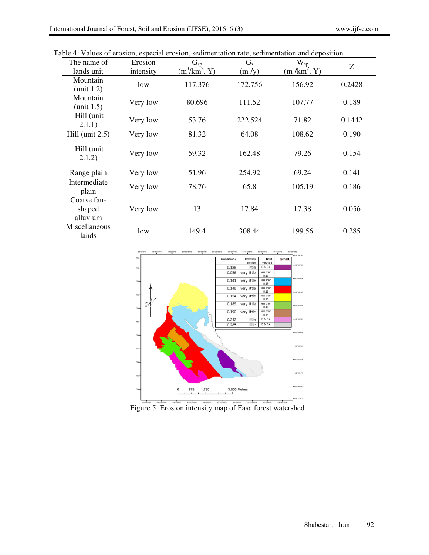| The name of                       | Erosion   | $G_{sp}$        | $G_{s}$   | $W_{sp}$        | Ζ      |
|-----------------------------------|-----------|-----------------|-----------|-----------------|--------|
| lands unit                        | intensity | $(m^3/km^2. Y)$ | $(m^3/y)$ | $(m^3/km^2, Y)$ |        |
| Mountain<br>unit 1.2)             | low       | 117.376         | 172.756   | 156.92          | 0.2428 |
| Mountain<br>(unit 1.5)            | Very low  | 80.696          | 111.52    | 107.77          | 0.189  |
| Hill (unit<br>2.1.1)              | Very low  | 53.76           | 222.524   | 71.82           | 0.1442 |
| Hill (unit $2.5$ )                | Very low  | 81.32           | 64.08     | 108.62          | 0.190  |
| Hill (unit<br>2.1.2)              | Very low  | 59.32           | 162.48    | 79.26           | 0.154  |
| Range plain                       | Very low  | 51.96           | 254.92    | 69.24           | 0.141  |
| Intermediate<br>plain             | Very low  | 78.76           | 65.8      | 105.19          | 0.186  |
| Coarse fan-<br>shaped<br>alluvium | Very low  | 13              | 17.84     | 17.38           | 0.056  |
| Miscellaneous<br>lands            | low       | 149.4           | 308.44    | 199.56          | 0.285  |

Table 4. Values of erosion, especial erosion, sedimentation rate, sedimentation and deposition



Figure 5. Erosion intensity map of Fasa forest watershed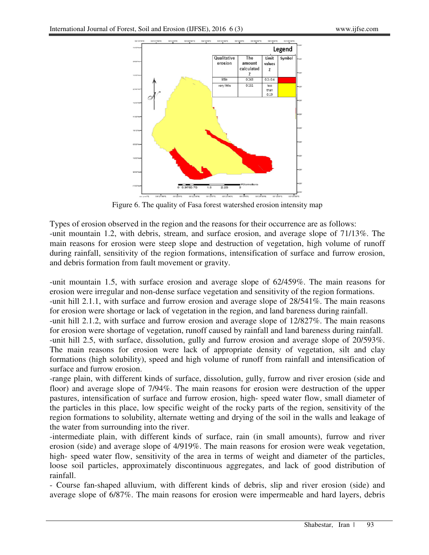

Figure 6. The quality of Fasa forest watershed erosion intensity map

Types of erosion observed in the region and the reasons for their occurrence are as follows: -unit mountain 1.2, with debris, stream, and surface erosion, and average slope of 71/13%. The main reasons for erosion were steep slope and destruction of vegetation, high volume of runoff during rainfall, sensitivity of the region formations, intensification of surface and furrow erosion, and debris formation from fault movement or gravity.

-unit mountain 1.5, with surface erosion and average slope of 62/459%. The main reasons for erosion were irregular and non-dense surface vegetation and sensitivity of the region formations. -unit hill 2.1.1, with surface and furrow erosion and average slope of 28/541%. The main reasons for erosion were shortage or lack of vegetation in the region, and land bareness during rainfall. -unit hill 2.1.2, with surface and furrow erosion and average slope of 12/827%. The main reasons for erosion were shortage of vegetation, runoff caused by rainfall and land bareness during rainfall. -unit hill 2.5, with surface, dissolution, gully and furrow erosion and average slope of 20/593%. The main reasons for erosion were lack of appropriate density of vegetation, silt and clay formations (high solubility), speed and high volume of runoff from rainfall and intensification of surface and furrow erosion.

-range plain, with different kinds of surface, dissolution, gully, furrow and river erosion (side and floor) and average slope of 7/94%. The main reasons for erosion were destruction of the upper pastures, intensification of surface and furrow erosion, high- speed water flow, small diameter of the particles in this place, low specific weight of the rocky parts of the region, sensitivity of the region formations to solubility, alternate wetting and drying of the soil in the walls and leakage of the water from surrounding into the river.

-intermediate plain, with different kinds of surface, rain (in small amounts), furrow and river erosion (side) and average slope of 4/919%. The main reasons for erosion were weak vegetation, high- speed water flow, sensitivity of the area in terms of weight and diameter of the particles, loose soil particles, approximately discontinuous aggregates, and lack of good distribution of rainfall.

- Course fan-shaped alluvium, with different kinds of debris, slip and river erosion (side) and average slope of 6/87%. The main reasons for erosion were impermeable and hard layers, debris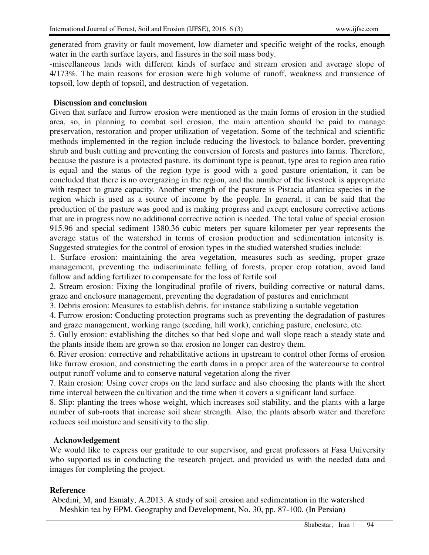generated from gravity or fault movement, low diameter and specific weight of the rocks, enough water in the earth surface layers, and fissures in the soil mass body.

-miscellaneous lands with different kinds of surface and stream erosion and average slope of 4/173%. The main reasons for erosion were high volume of runoff, weakness and transience of topsoil, low depth of topsoil, and destruction of vegetation.

# **Discussion and conclusion**

Given that surface and furrow erosion were mentioned as the main forms of erosion in the studied area, so, in planning to combat soil erosion, the main attention should be paid to manage preservation, restoration and proper utilization of vegetation. Some of the technical and scientific methods implemented in the region include reducing the livestock to balance border, preventing shrub and bush cutting and preventing the conversion of forests and pastures into farms. Therefore, because the pasture is a protected pasture, its dominant type is peanut, type area to region area ratio is equal and the status of the region type is good with a good pasture orientation, it can be concluded that there is no overgrazing in the region, and the number of the livestock is appropriate with respect to graze capacity. Another strength of the pasture is Pistacia atlantica species in the region which is used as a source of income by the people. In general, it can be said that the production of the pasture was good and is making progress and except enclosure corrective actions that are in progress now no additional corrective action is needed. The total value of special erosion 915.96 and special sediment 1380.36 cubic meters per square kilometer per year represents the average status of the watershed in terms of erosion production and sedimentation intensity is. Suggested strategies for the control of erosion types in the studied watershed studies include:

1. Surface erosion: maintaining the area vegetation, measures such as seeding, proper graze management, preventing the indiscriminate felling of forests, proper crop rotation, avoid land fallow and adding fertilizer to compensate for the loss of fertile soil

2. Stream erosion: Fixing the longitudinal profile of rivers, building corrective or natural dams, graze and enclosure management, preventing the degradation of pastures and enrichment

3. Debris erosion: Measures to establish debris, for instance stabilizing a suitable vegetation

4. Furrow erosion: Conducting protection programs such as preventing the degradation of pastures and graze management, working range (seeding, hill work), enriching pasture, enclosure, etc.

5. Gully erosion: establishing the ditches so that bed slope and wall slope reach a steady state and the plants inside them are grown so that erosion no longer can destroy them.

6. River erosion: corrective and rehabilitative actions in upstream to control other forms of erosion like furrow erosion, and constructing the earth dams in a proper area of the watercourse to control output runoff volume and to conserve natural vegetation along the river

7. Rain erosion: Using cover crops on the land surface and also choosing the plants with the short time interval between the cultivation and the time when it covers a significant land surface.

8. Slip: planting the trees whose weight, which increases soil stability, and the plants with a large number of sub-roots that increase soil shear strength. Also, the plants absorb water and therefore reduces soil moisture and sensitivity to the slip.

# **Acknowledgement**

We would like to express our gratitude to our supervisor, and great professors at Fasa University who supported us in conducting the research project, and provided us with the needed data and images for completing the project.

#### **Reference**

Abedini, M, and Esmaly, A.2013. A study of soil erosion and sedimentation in the watershed Meshkin tea by EPM. Geography and Development, No. 30, pp. 87-100. (In Persian)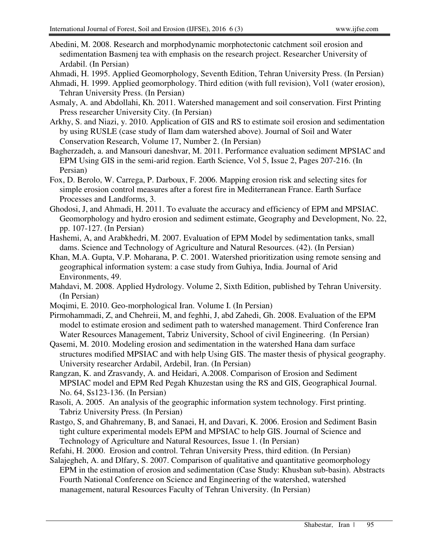- Abedini, M. 2008. Research and morphodynamic morphotectonic catchment soil erosion and sedimentation Basmenj tea with emphasis on the research project. Researcher University of Ardabil. (In Persian)
- Ahmadi, H. 1995. Applied Geomorphology, Seventh Edition, Tehran University Press. (In Persian)
- Ahmadi, H. 1999. Applied geomorphology. Third edition (with full revision), Vol1 (water erosion), Tehran University Press. (In Persian)
- Asmaly, A. and Abdollahi, Kh. 2011. Watershed management and soil conservation. First Printing Press researcher University City. (In Persian)
- Arkhy, S. and Niazi, y. 2010. Application of GIS and RS to estimate soil erosion and sedimentation by using RUSLE (case study of Ilam dam watershed above). Journal of Soil and Water Conservation Research, Volume 17, Number 2. (In Persian)
- Bagherzadeh, a. and Mansouri daneshvar, M. 2011. Performance evaluation sediment MPSIAC and EPM Using GIS in the semi-arid region. Earth Science, Vol 5, Issue 2, Pages 207-216. (In Persian)
- Fox, D. Berolo, W. Carrega, P. Darboux, F. 2006. Mapping erosion risk and selecting sites for simple erosion control measures after a forest fire in Mediterranean France. Earth Surface Processes and Landforms, 3.
- Ghodosi, J, and Ahmadi, H. 2011. To evaluate the accuracy and efficiency of EPM and MPSIAC. Geomorphology and hydro erosion and sediment estimate, Geography and Development, No. 22, pp. 107-127. (In Persian)
- Hashemi, A, and Arabkhedri, M. 2007. Evaluation of EPM Model by sedimentation tanks, small dams. Science and Technology of Agriculture and Natural Resources. (42). (In Persian)
- Khan, M.A. Gupta, V.P. Moharana, P. C. 2001. Watershed prioritization using remote sensing and geographical information system: a case study from Guhiya, India. Journal of Arid Environments, 49.
- Mahdavi, M. 2008. Applied Hydrology. Volume 2, Sixth Edition, published by Tehran University. (In Persian)
- Moqimi, E. 2010. Geo-morphological Iran. Volume I. (In Persian)
- Pirmohammadi, Z, and Chehreii, M, and feghhi, J, abd Zahedi, Gh. 2008. Evaluation of the EPM model to estimate erosion and sediment path to watershed management. Third Conference Iran Water Resources Management, Tabriz University, School of civil Engineering. (In Persian)
- Qasemi, M. 2010. Modeling erosion and sedimentation in the watershed Hana dam surface structures modified MPSIAC and with help Using GIS. The master thesis of physical geography. University researcher Ardabil, Ardebil, Iran. (In Persian)
- Rangzan, K. and Zrasvandy, A. and Heidari, A.2008. Comparison of Erosion and Sediment MPSIAC model and EPM Red Pegah Khuzestan using the RS and GIS, Geographical Journal. No. 64, Ss123-136. (In Persian)
- Rasoli, A. 2005. An analysis of the geographic information system technology. First printing. Tabriz University Press. (In Persian)
- Rastgo, S, and Ghahremany, B, and Sanaei, H, and Davari, K. 2006. Erosion and Sediment Basin tight culture experimental models EPM and MPSIAC to help GIS. Journal of Science and Technology of Agriculture and Natural Resources, Issue 1. (In Persian)
- Refahi, H. 2000. Erosion and control. Tehran University Press, third edition. (In Persian)
- Salajegheh, A. and Dlfary, S. 2007. Comparison of qualitative and quantitative geomorphology EPM in the estimation of erosion and sedimentation (Case Study: Khusban sub-basin). Abstracts Fourth National Conference on Science and Engineering of the watershed, watershed management, natural Resources Faculty of Tehran University. (In Persian)